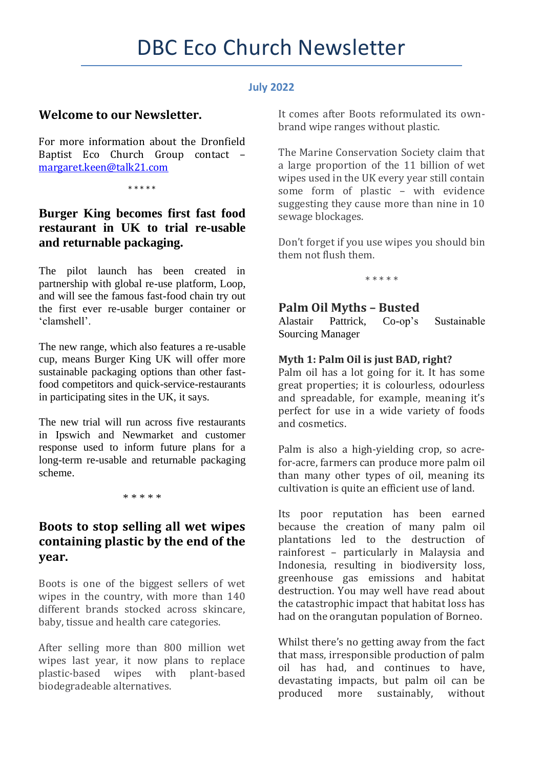#### **July 2022**

## **Welcome to our Newsletter.**

For more information about the Dronfield Baptist Eco Church Group contact – [margaret.keen@talk21.com](mailto:margaret.keen@talk21.com)

\* \* \* \* \*

# **Burger King becomes first fast food restaurant in UK to trial re-usable and returnable packaging.**

The pilot launch has been created in partnership with global re-use platform, Loop, and will see the famous fast-food chain try out the first ever re-usable burger container or 'clamshell'.

The new range, which also features a re-usable cup, means Burger King UK will offer more sustainable packaging options than other fastfood competitors and quick-service-restaurants in participating sites in the UK, it says.

The new trial will run across five restaurants in Ipswich and Newmarket and customer response used to inform future plans for a long-term re-usable and returnable packaging scheme.

\* \* \* \* \*

### **Boots to stop selling all wet wipes containing plastic by the end of the year.**

Boots is one of the biggest sellers of wet wipes in the country, with more than 140 different brands stocked across skincare, baby, tissue and health care categories.

After selling more than 800 million wet wipes last year, it now plans to replace plastic-based wipes with plant-based biodegradeable alternatives.

It comes after Boots reformulated its ownbrand wipe ranges without plastic.

The Marine Conservation Society claim that a large proportion of the 11 billion of wet wipes used in the UK every year still contain some form of plastic – with evidence suggesting they cause more than nine in 10 sewage blockages.

Don't forget if you use wipes you should bin them not flush them.

\* \* \* \* \*

# **Palm Oil Myths – Busted**

Alastair Pattrick, Co-op's Sustainable Sourcing Manager

### **Myth 1: Palm Oil is just BAD, right?**

Palm oil has a lot going for it. It has some great properties; it is colourless, odourless and spreadable, for example, meaning it's perfect for use in a wide variety of foods and cosmetics.

Palm is also a high-yielding crop, so acrefor-acre, farmers can produce more palm oil than many other types of oil, meaning its cultivation is quite an efficient use of land.

Its poor reputation has been earned because the creation of many palm oil plantations led to the destruction of rainforest – particularly in Malaysia and Indonesia, resulting in biodiversity loss, greenhouse gas emissions and habitat destruction. You may well have read about the catastrophic impact that habitat loss has had on the orangutan population of Borneo.

Whilst there's no getting away from the fact that mass, irresponsible production of palm oil has had, and continues to have, devastating impacts, but palm oil can be produced more sustainably, without